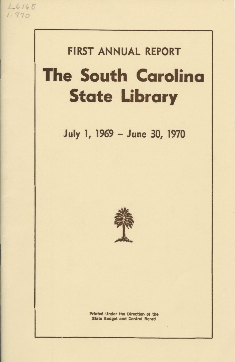

# **FIRST ANNUAL REPORT**

# **The South Carolina State Library**

**July 1, 1969 - June 30, 1970** 



Printed Under the Direction of the State Budget and Control Board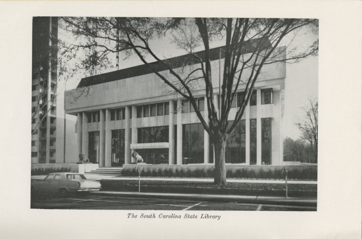

The South Carolina State Library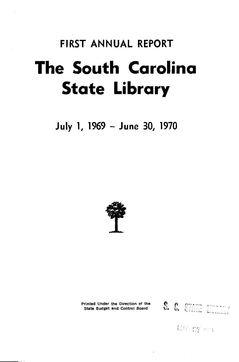# **FIRST ANNUAL REPORT The South Carolina State Library**

**July 1, 1969 - June 30, 1970** 





K27 : 07 : 101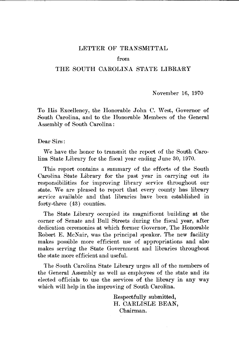#### LETTER OF TRANSMITTAL

#### from

#### THE SOUTH CAROLINA STATE LIBRARY

November 16, 1970

To His Excellency, the Honorable John C. West, Governor of South Carolina, and to the Honorable Members of the General Assembly of South Carolina:

Dear Sirs:

We have the honor to transmit the report of the South Carolina State Library for the fiscal year ending June 30, 1970.

This report contains a summary of the efforts of the South Carolina State Library for the past year in carrying out its. responsibilities for improving library service throughout our state. We are pleased to report that every county has library service available and that libraries have been established in forty-three (43) counties.

The State Library oocupied its magnificent building at the corner of Senate and Bull Streets during the fiscal year, after dedication ceremonies at which former Governor, The Honorable Robert E. McNair, was the principal speaker. The new facility makes possible more efficient use of appropriations and also makes serving the State Government and libraries throughout the state more efficient and useful.

The South Carolina State Library urges all of the members of the General Assembly as well as employees of the state and its elected officials to use the services of the library in any way which will help in the improving of South Carolina.

> Respectfully submitted, H. CARLISLE BEAN, Chairman.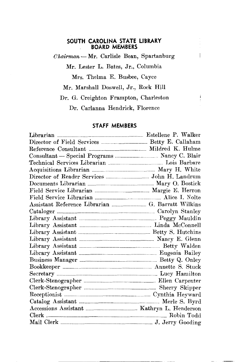#### **SOUTH CAROLINA STATE LIBRARY BOARD MEMBERS**

*0 hairmarn-* Mr. Carlisle Bean, Spartanburg

L

Mr. Lester L. Bates, Jr., Columbia

Mrs. Thelma E. Busbee, Cayce

Mr. Marshall Doswell, Jr., Rock Hill

Dr. G. Creighton Frampton, Charleston

Dr. Carlanna Hendrick, Florence

#### **STAFF MEMBERS**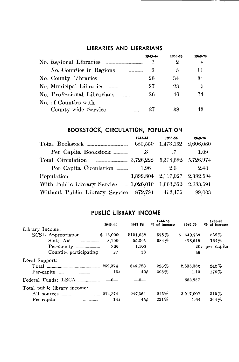## **LIBRARIES AND LIBRARIANS**

~-------------------------------~

|                             | 1943-44 | 1955-56 | 1969-70 |
|-----------------------------|---------|---------|---------|
|                             |         | 2       | 4       |
|                             | 2       | 5       | 11      |
| No. County Libraries        | 26      | 34      | 34      |
|                             | 27      | 23      | 5       |
| No. Professional Librarians | 26      | 46      | 74      |
| No. of Counties with        |         |         |         |
|                             |         | 38      |         |

# **BOOKSTOCK, CIRCULATION, POPULATION**

|                                        | 1943-44  | 1955-56             | 1969-70   |
|----------------------------------------|----------|---------------------|-----------|
|                                        | 620,550  | 1,473,132 2,606,080 |           |
| Per Capita Bookstock                   | .3       |                     | 1.09      |
|                                        |          | $5{,}318{,}682$     | 5,726,974 |
| Per Capita Circulation                 | $1.96\,$ | $2.5\,$             | 2.40      |
|                                        |          | 2,117,027           | 2,382,594 |
| With Public Library Service  1,020,010 |          | 1,663,552           | 2,283,591 |
| Without Public Library Service 879,794 |          | $453{,}475$         | 99,003    |

### **PUBLIC LIBRARY INCOME**

|                                   | 1943-44         | 1955-56   | 1944-56<br>% of increase | 1969-70   | 1956-70<br>% of increase |
|-----------------------------------|-----------------|-----------|--------------------------|-----------|--------------------------|
| Library Income:                   |                 |           |                          |           |                          |
| SCSL Appropriation \$15,000       |                 | \$101,638 | 578%                     | \$649.769 | 539%                     |
|                                   | 8,100           | 55,395    | $584\%$                  | 478,519   | $764\%$                  |
|                                   | 300             | 1,500     |                          |           | $20¢$ per capita         |
| Counties participating            | 27              | 38        |                          | 46        |                          |
| Local Support:                    |                 |           |                          |           |                          |
|                                   |                 | 845,723   | 226%                     | 2,635,382 | 212%                     |
|                                   | 136             | $40\ell$  | $208\%$                  | 1.10      | 175%                     |
| Federal Funds: LSCA $\ldots$ $-0$ |                 | $-0-$     |                          | 653,857   |                          |
| Total public library income:      |                 |           |                          |           |                          |
|                                   |                 | 947,361   | 245%                     | 3,917,007 | 313%                     |
|                                   | 14 <sub>f</sub> | 456       | 221%                     | 1.64      | 264%                     |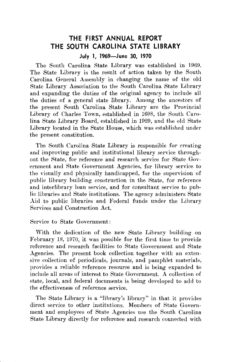# **THE FIRST ANNUAL REPORT THE SOUTH CAROLINA STATE LIBRARY**

#### **July 1, 1969-June 30, 1970**

The South Carolina State Library was established in 1969. The State Library is the result of action taken by the South Carolina General Assembly in changing the name of the old State Library Association to the South Carolina State Library and expanding the duties of the original agency to include all the duties of a general state library. Among the ancestors of the present South Carolina State Library are the Provincial Library of Charles Town, established in 1698, the South Carolina State Library Board, established in 1929, and the old State Library located in the State House, which was established under the present constitution.

The South Carolina State Library is responsible for creating and improving public and institutional library service throughout the State, for reference and research service for State Government and State Government Agencies, for library service to the visually and physically handicapped, for the supervision of public library building construction in the State, for reference and interlibrary loan service, and for consultant service to public libraries and State institutions. The agency administers State Aid to public libraries and Federal funds under the Library Services and Construction Act.

#### Service to State Government:

With the dedication of the new State Library building on February 18, 1970, it was possible for the first time to provide reference and research facilities to State Government and State Agencies. The present book collection together with an extensive collection of periodicals, journals, and pamphlet materials, provides a reliable reference resource and is being expanded to include all areas of interest to State Government. A collection of state, local, and federal documents is being developed to add to the effectiveness of reference service.

The State Library is a "library's library" in that it provides direct service to other institutions. Members of State Government and employees of State Agencies use the South Carolina State Library directly for reference and research connected with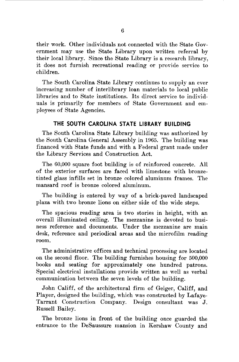their work. Other individuals not connected with the State Government may use the State Library upon written referral by their local library. Since the State Library is a research library, it does not furnish recreational reading or provide service to children.

The South Carolina State Library continues to supply an ever increasing number of interlibrary loan materials to local public libraries and to State institutions. Its direct service to individuals is primarily for members of State Government and employees of State Agencies.

#### **THE SOUTH CAROLINA STATE LIBRARY BUILDING**

The South Carolina State Library building was authorized by the South Carolina General Assembly in 1965. The building was financed with State funds and with a Federal grant made under the Library Services and Construction Act.

The 60,000 square foot building is of reinforced concrete. All of the exterior surfaces are faced with limestone with bronzetinted glass infills set in bronze colored aluminum frames. The mansard roof is bronze colored aluminum.

The building is entered by way of a brick-paved landscaped plaza with two bronze lions on either side of the wide steps.

The spacious reading area is two stories in height, with an overall illuminated ceiling. The mezzanine is devoted to business reference and documents. Under the mezzanine are main desk, reference and periodical areas and the microfilm reading room.

The administrative offices and technical processing are located on the second floor. The building furnishes housing for 500,000 books and seating for approximately one hundred patrons. Special electrical installations provide written as well as verbal communication between the seven levels of the building.

John Califf, of the architectural firm of Geiger, Califf, and Player, designed the building, which was constructed by Lafaye-Tarrant Construction Company. Design consultant was J. Russell Bailey.

The bronze lions in front of the building once guarded the entrance to the DeSaussure mansion in Kershaw County and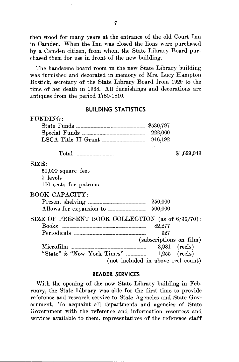then stood for many years at the entrance of the old Court Inn in Camden. When the Inn was closed the lions were purchased by a Camden citizen, from whom the State Library Board purchased them for use in front of the new building.

The handsome board room in the new State Library building was furnished and decorated in memory of Mrs. Lucy Hampton Bostick, secretary of the State Library Board from 1929 to the time of her death in 1968. All furnishings and decorations are antiques from the period 1780-1810.

#### **BUILDING STATISTICS**

| FUNDING:                                            |        |                         |
|-----------------------------------------------------|--------|-------------------------|
|                                                     |        |                         |
|                                                     |        |                         |
| LSCA Title II Grant _______________________ 946,192 |        |                         |
|                                                     |        | \$1,699,049             |
| SIZE:                                               |        |                         |
| 60,000 square feet                                  |        |                         |
| 7 levels                                            |        |                         |
| 100 seats for patrons                               |        |                         |
| <b>BOOK CAPACITY:</b>                               |        |                         |
|                                                     |        |                         |
|                                                     |        |                         |
| SIZE OF PRESENT BOOK COLLECTION (as of 6/30/70):    |        |                         |
|                                                     | 82,277 |                         |
|                                                     | 327    |                         |
|                                                     |        | (subscriptions on film) |
|                                                     |        | $3,981$ (reels)         |
|                                                     |        |                         |
| (not included in above reel count)                  |        |                         |

#### **READER SERVICES**

With the opening of the new State Library building in February, the State Library was able for the first time to provide reference and research service to State Agencies and State Government. To acquaint all departments and agencies of State Government with the reference and information resources and services available to them, representatives of the reference staff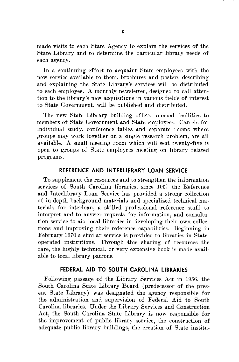made visits to each State Agency to explain the services of the State Library and to determine the particular library needs of each agency.

In a continuing effort to acquaint State employees with the new service available to them, brochures and posters describing and explaining the State Library's services will be distributed to each employee. A monthly newsletter, designed to call attention to the library's new acquisitions in various fields o£ interest to State Government, will be published and distributed.

The new State Library building offers unusual facilities to members of State Government and State employees. Carrels for individual study, conference tables and separate rooms where groups may work together on a single research problem, are all available. A small meeting room which will seat twenty-five is open to groups o£ State employees meeting on library related programs.

#### **REFERENCE AND INTERLIBRARY LOAN SERVICE**

To supplement the resources and to strengthen the information services of South Carolina libraries, since 1957 the Reference and Interlibrary Loan Service has provided a strong collection o£ in-depth background materials and specialized technical materials for interloan, a skilled professional reference staff to interpret and to answer requests for information, and consultation service to aid local libraries in developing their own collections and improving their reference capabilities. Beginning in February 1970 a similar service is provided to libraries in Stateoperated institutions. Through this sharing of resources the rare, the highly technical, or very expensive book is made available to local library patrons.

#### **FEDERAL AID TO SOUTH CAROLINA LIBRARIES**

Following passage o£ the Library Services Act in 1956, the South Carolina State Library Board (predecessor of the present State Library) was designated the agency responsible for the administration and supervision of Federal Aid to South Carolina libraries. Under the Library Services and Construction Act, the South Carolina State Library is now responsible for the improvement of public library service, the construction of adequate public library buildings, the creation of State institu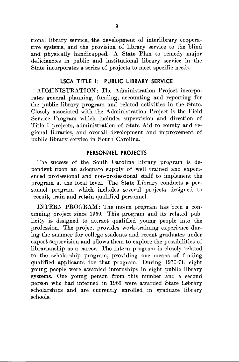tional library service, the development of interlibrary cooperative systems, and the provision of library service to the blind and physically handicapped. A State Plan to remedy major deficiencies in public and institutional library service in the State incorporates a series of projects to meet specific needs.

#### **LSCA TITLE 1: PUBLIC LIBRARY SERVICE**

ADMINISTRATION: The Administration Project incorporates general planning, funding, accounting and reporting for the public library program and related activities in the State. Closely associated with the Administration Project is the Field Service Program which includes supervision and direction of Title I projects, administration of State Aid to county and regional libraries, and overall development and improvement of public library service in South Carolina.

#### **PERSONNEL PROJECTS**

The success of the South Carolina library program is dependent upon an adequate supply of well trained and experienced professional and non-professional staff to implement the program at the local level. The State Library conducts a personnel program which includes several projects designed to recruit, train and retain qualified personnel.

INTERN PROGRAM: The intern program has been a continuing project since 1959. This program and its related publicity is designed to attract qualified young people into the profession. The project provides work-training experience during the summer for college students and recent graduates under expert supervision and allows them to explore the possibilities of librarianship as a career. The intern program is closely related to the scholarship program, providing one means of finding qualified applicants for that program. During 1970-71, eight young people were awarded internships in eight public library systems. One young person from this number and a second person who had interned in 1969 were awarded State Library scholarships and are currently enrolled in graduate library schools.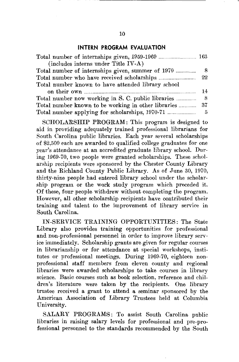#### **INTERN PROGRAM EVALUATION**

| (includes interns under Title IV-A)                |               |
|----------------------------------------------------|---------------|
| Total number of internships given, summer of 1970  | 8             |
|                                                    | $22\,$        |
| Total number known to have attended library school |               |
| on their own                                       | 14            |
|                                                    | 8             |
|                                                    |               |
|                                                    | $\frac{5}{2}$ |

SCHOLARSHIP PROGRAM: This program is designed to aid in providing adequately trained professional librarians for South Carolina public libraries. Each year several scholarships of \$2,500 each are awarded to qualified college graduates for one year's attendance at an accredited graduate library school. During 1969-70, two people were granted scholarships. These scholarship recipients were sponsored by the Chester County Library and the Richland County Public Library. As of June 30, 1970, thirty-nine people had entered library school under the scholarship program or the work study program which preceded it. 0£ these, £our people withdrew without completing the program. However, all other scholarship recipients have contributed their training and talent to the improvement of library service in South Carolina.

IN-SERVICE TRAINING OPPORTUNITIES: The State Library also provides training opportunities for professional and non-professional personnel in order to improve library service immediately. Scholarship grants are given for regular courses in librarianship or for attendance at special workshops, institutes or professional meetings. During 1969-70, eighteen nonprofessional staff members from eleven county and regional libraries were awarded scholarships to take courses in library science. Basic courses such as book selection, reference and children's literature were taken by the recipients. One library trustee received a grant to attend a seminar sponsored by the American Association of Library Trustees held at Columbia University.

SALARY PROGRAMS: To assist South Carolina public libraries in raising salary levels for professional and pre-professional personnel to the standards recommended by the South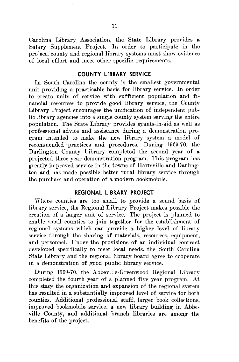Carolina Library Association, the State Library provides a Salary Supplement Project. In order to participate in the project, county and regional library systems must show evidence of local effort and meet other specific requirements.

#### **COUNTY LIBRARY SERVICE**

In South Carolina the county is the smallest governmental unit providing a practicable basis for library service. In order to create units of service with sufficient population and financial resources to provide good library service, the County Library Project encourages the unification of independent public library agencies into a single county system serving the entire population. The State Library provides grants-in-aid as well as professional advice and assistance during a demonstration program intended to make the new library system a model of recommended practices and procedures. During 1969-70, the Darlington County Library completed the second year of a projected three-year demonstration program. This program has greatly improved service in the towns of Hartsville and Darlington and has made possible better rural library service through the purchase and operation of a modern bookmobile.

#### **REGIONAL LIBRARY PROJECT**

Where counties are too small to provide a sound basis of library service, the Regional Library Project makes possible the creation of a larger unit of service. The project is planned to enable small counties to join together for the establishment of regional systems which can provide a higher level of library service through the sharing of materials, resources, equipment, and personnel. Under the provisions of an individual contract developed specifically to meet local needs, the South Carolina State Library and the regional library board agree to cooperate in a demonstration of good public library service.

During 1969-70, the Abbeville-Greenwood Regional Library completed the fourth year of a planned five year program. At this stage the organization and expansion of the regional system has resulted in a substantially improved level of service for both oounties. Additional professional staff, larger book collections, improved bookmobile service, a new library building in Abbeville County, and additional branch libraries are among the benefits of the project.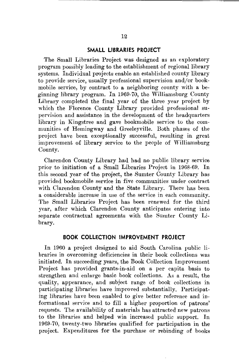#### **SMALL LIBRARIES PROJECT**

The Small Libraries Project was designed as an exploratory program possibly leading to the establishment of regional library systems. Individual projects enable an established county library to provide service, usually professional supervision and/or bookmobile service, by contract to a neighboring county with a beginning library program. In 1969-70, the Williamsburg County Library completed the final year of the three year project by which the Florence County Library provided professional supervision and assistance in the development of the headquarters library in Kingstree and gave bookmobile service to the communities of Hemingway and Greeleyville. Both phases of the project have been exceptionally successful, resulting in great improvement of library service to the people of Williamsburg County.

Clarendon County Library had had no public library service prior to initiation of a Small Libraries Project in 1968-69. In this second year of the project, the Sumter County Library has provided bookmobile service in five communities under contract with Clarendon County and the State Library. There has been a considerable increase in use of the service in each community. The Small Libraries Project has been renewed for the third year, after which Clarendon County anticipates entering into separate contractual agreements with the Sumter County Library.

#### **BOOK COLLECTION IMPROVEMENT PROJECT**

In 1960 a project designed to aid South Carolina public libraries in overcoming deficiencies in their book collections was initiated. In succeeding years, the Book Collection Improvement Project has provided grants-in-aid on a per capita basis to strengthen and enlarge basic book collections. As a result, the quality, appearance, and subject range of book collections in participating libraries have improved substantially. Participating libraries have been enabled to give better reference and informational service and to fill a higher proportion of patrons' requests. The availability of materials has attracted new patrons to the libraries and helped win increased public support. In 1969-70, twenty-two libraries qualified for participation in the project. Expenditures for the purchase or rebinding of books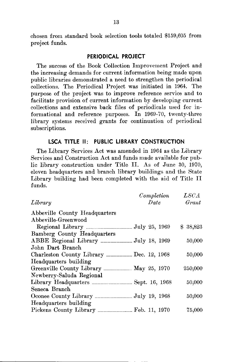chosen from standard book selection tools totaled \$159,605 from project funds.

#### **PERIODICAL PROJECT**

The success of the Book Collection Improvement Project and the increasing demands for current information being made upon public libraries demonstrated a need to strengthen the periodical collections. The Periodical Project was initiated in 1964. The purpose of the project was to improve reference service and to facilitate provision of current information by developing current collections and extensive back files of penodicals used for informational and reference purposes. In 1969-70, twenty-three library systems received grants for continuation of periodical subscriptions.

#### **LSCA TITLE II: PUBLIC LIBRARY CONSTRUCTION**

The Library Services Act was amended in 1964 as the Library Services and Construction Act and funds made available for public library construction under Title II. As of June 30, 1970, eleven headquarters and branch library buildings and the State Library building had been completed with the aid of Title II funds.

|                                          | Completion | LSCA     |
|------------------------------------------|------------|----------|
| Library                                  | Date       | Grant    |
| Abbeville County Headquarters            |            |          |
| Abbeville-Greenwood                      |            |          |
|                                          |            | \$38,823 |
| <b>Bamberg County Headquarters</b>       |            |          |
|                                          |            | 50,000   |
| John Dart Branch                         |            |          |
| Charleston County Library  Dec. 12, 1968 |            | 50,000   |
| Headquarters building                    |            |          |
| Greenville County Library  May 25, 1970  |            | 250,000  |
| Newberry-Saluda Regional                 |            |          |
|                                          |            | 50,000   |
| Seneca Branch                            |            |          |
|                                          |            | 50,000   |
| Headquarters building                    |            |          |
|                                          |            | 75,000   |
|                                          |            |          |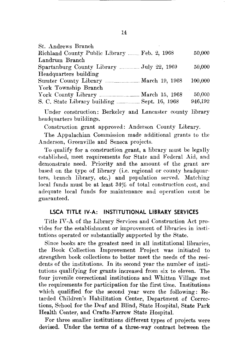| St. Andrews Branch                                     |         |
|--------------------------------------------------------|---------|
| Richland County Public Library  Feb. 2, 1968           | 50,000  |
| Landrum Branch                                         |         |
| Spartanburg County Library  July 22, 1969              | 50,000  |
| Headquarters building                                  |         |
| March 19, 1968<br>Sumter County Library                | 100,000 |
| York Township Branch                                   |         |
| March 15, 1968                                         | 50,000  |
| S. C. State Library building __________ Sept. 16, 1968 | 946,192 |

Under construction: Berkeley and Lancaster county library headquarters buildings.

Construction grant approved: Anderson County Library.

The Appalachian Commission made additional grants to the Anderson, Greenville and Seneca projects.

To qualify for a construction grant, a library must be legally established, meet requirements for State and Federal Aid, and demonstrate need. Priority and the amount of the grant are based on the type of library (i.e. regional or county headquarters, branch library, etc.) and population served. Matching local funds must be at least 34% of total construction cost, and adequate local funds for maintenance and operation must be guaranteed.

#### **LSCA TITLE IV-A: INSTITUTIONAL LIBRARY SERVICES**

Title IV-A of the Library Services and Construction Act provides for the establishment or improvement of libraries in institutions operated or substantially supported by the State.

Since books are the greatest need in all institutional libraries, the Book Collection Improvement Project was initiated to strengthen book collections to better meet the needs of the residents of the institutions. In its second year the number of institutions qualifying for grants increased from six to eleven. The four juvenile correctional institutions and Whitten Village met the requirements for participation for the first time. Institutions which qualified for the second year were the following: Retarded Children's Habilitation Center, Department of Corrections, School for the Deaf and Blind, State Hospital, State Park Health Center, and Crafts-Farrow State Hospital.

For three smaller institutions different types of projects were devised. Under the terms of a three-way oontract between the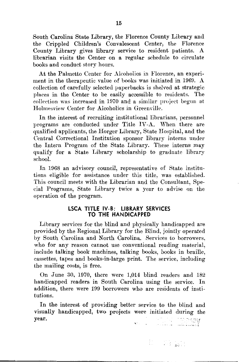South Carolina State Library, the Florence County Library and the Crippled Children's Convalescent Center, the Florence County Library gives library service to resident patients. A librarian visits the Center on a regular schedule to circulate books and conduct story hours.

At the Palmetto Center for Alcoholics in Florence, an experiment in the therapeutic value of books was initiated in 1969. A collection of carefully selected paperbacks is shelved at strategic places in the Center to be easily accessible to residents. The collection was increased in 1970 and a similar project begun at Holmesview Center for Alcoholics in Greenville.

In the interest of recruiting institutional librarians, personnel programs are conducted under Title IV-A. When there are qualified applicants, the Horger Library, State Hospital, and the Central Correctional Institution sponsor library interns under the Intern Program of the State Library. These interns may qualify for a State Library scholarship to graduate library school.

In 1968 an advisory council, representative of State institutions eligible for assistance under this title, was established. This council meets with the Librarian and the Consultant, Special Programs, State Library twice a year to advise on the operation of the program.

#### **LSCA TITLE IV-8: LIBRARY SERVICES TO THE HANDICAPPED**

Library services for the blind and physically handicapped are provided by the Regional Library for the Blind, jointly operated by South Carolina and North Carolina. Services to borrowers, who for any reason cannot use conventional reading material, include talking book machines, talking books, books in braille, cassettes, tapes and books-in-large print. The service, including the mailing costs, is free.

On June 30, 1970, there were 1,014 blind readers and 182 handicapped readers in South Carolina using the service. In addition, there were 199 borrowers who are residents of institutions.

In the interest of providing better service to the blind and visually handicapped, two projects were initiated during the year.

**COORY** الأربعي المستخدم المنافذة المنافذة<br>المنافذة المستخدمات المنافذة المنافذة

.!~: ..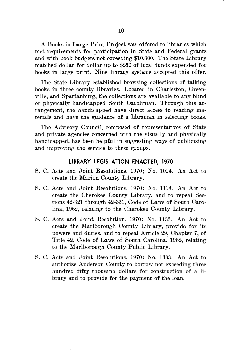A Books-in-Large-Print Project was offered to libraries which met requirements for participation in State and Federal grants and with book budgets not exceeding \$10,000. The State Library matched dollar for dollar up to \$250 of local funds expended for books in large print. Nine library systems accepted this offer.

The State Library established browsing collections of talking books in three county libraries. Located in Charleston, Greenville, and Spartanburg, the collections are available to any blind or physically handicapped South Carolinian. Through this arrangement, the handicapped have direct access to reading materials and have the guidance of a librarian in selecting books.

The Advisory Council, composed of representatives of State and private agencies concerned with the visually and physically handicapped, has been helpful in suggesting ways of publicizing and improving the service to these groups.

#### **LIBRARY LEGISLATION ENACTED, 1970**

- S. C. Acts and Joint Resolutions, 1970; No. 1014. An Act to create the Marion County Library.
- S. C. Acts and Joint Resolutions, 1970; No. 1114. An Act to create the Cherokee County Library, and to repeal Sections 42-321 through 42-331, Code of Laws of South Carolina, 1962, relating to the Cherokee County Library.
- S. C. Acts and Joint Resolution, 1970; No. 1133. An Act to create the Marlborough County Library, provide for its powers and duties, and to repeal Article 29, Chapter 7, of Title 42, Code of Laws of South Carolina, 1962, relating to the Marlborough County Public Library.
- S. C. Acts and Joint Resolutions, 1970; No. 1333. An Act to authorize Anderson County to borrow not exceeding three hundred fifty thousand dollars for construction of a library and to provide for the payment of the loan.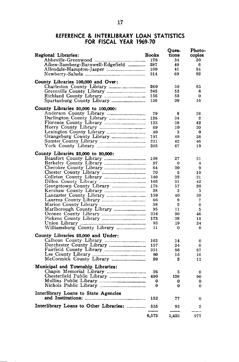#### **REFERENCE. & INTERLIBRARY LOAN STATISTICS FOR FISCAL YEAR 1969-70**

| Regional Libraries:                    | <b>Books</b> | Oues-<br>tions | Photo-<br>copies |
|----------------------------------------|--------------|----------------|------------------|
| Abbeville-Greenwood                    | 176          | 34             | 20               |
| Aiken-Bamberg-Barnwell-Edgefield       | 287          | 49             | 6                |
| Allendale-Hampton-Jasper               | 100          | 41             | 94               |
|                                        | 314          | 69             | 92               |
| County Libraries 100,000 and Over:     |              |                |                  |
|                                        | 260          | 50             | 65               |
|                                        | 245          | 53             | 6                |
|                                        | 156          | 52             | 0                |
|                                        | 136          | 20             | 16               |
| County Libraries 50,000 to 100,000:    |              |                |                  |
|                                        | 79           | 8              | 38               |
|                                        | 126          | 34             | 2                |
|                                        | 133          | 38             | 42               |
|                                        | 69           | 10             | 20               |
|                                        | 40           | 3              | $\bf{0}$         |
|                                        | 191          | 49             | 26               |
|                                        | 231          | 42             | 46               |
|                                        | 305          | 67             | 19               |
| County Libraries 25,000 to 50,000:     |              |                |                  |
|                                        | 108          | 27             | 31               |
|                                        | 27           | 0              | 4                |
|                                        | 64           | 20             | 9                |
|                                        | 70           | 5              | 10               |
|                                        | 140          | 22             | 21               |
| Dillon County Library                  | 163          | 31             | 42               |
|                                        | 178          | 57             | 20               |
|                                        | 28           | 3              | 3                |
|                                        | 159          | 40             | 39               |
|                                        | 66           | 9              | 7                |
|                                        | 38           | 2              | 0                |
|                                        | 95           | 11             | 5                |
|                                        | 334          | 90             | 46               |
|                                        | 173          | 28             | 15               |
|                                        | 93           | 19             | 24               |
|                                        | 11           | 0              | 0                |
| County Libraries 25,000 and Under:     |              |                |                  |
|                                        | 163          | 14             | $\bf{0}$         |
|                                        | 157          | 24             | 0                |
|                                        | 351          | 86             | 87               |
|                                        | 80           | 15             | 16               |
|                                        | 20           | 2              | 12               |
| Municipal and Township Libraries:      |              |                |                  |
|                                        | 26           | 3              | 0                |
|                                        | 490          | 128            | 90               |
|                                        | 0            | 0              | 0                |
|                                        | 0            | 0              | 0                |
| Interlibrary Loans to State Agencies   | 152          | 77             | 0                |
|                                        |              |                |                  |
| Interlibrary Loans to Other Libraries: | 535          | 93             | $\mathbf{2}$     |
|                                        | 6,572        | 1,423          | 977              |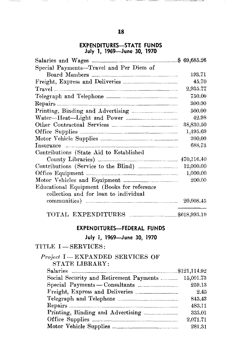#### **EXPENDITURES-STATE FUNDS July 1, 1969-June 30, 1970**

| Special Payments-Travel and Per Diem of                                                                                                                                                                                             |           |
|-------------------------------------------------------------------------------------------------------------------------------------------------------------------------------------------------------------------------------------|-----------|
|                                                                                                                                                                                                                                     | 193.71    |
|                                                                                                                                                                                                                                     | 45.70     |
|                                                                                                                                                                                                                                     | 2,935.77  |
|                                                                                                                                                                                                                                     | 750.00    |
|                                                                                                                                                                                                                                     | 300.00    |
|                                                                                                                                                                                                                                     | 500.00    |
| Water-Heat--Light and Power                                                                                                                                                                                                         | 42.98     |
|                                                                                                                                                                                                                                     | 38,830.50 |
|                                                                                                                                                                                                                                     | 1,495.69  |
|                                                                                                                                                                                                                                     | 200.00    |
| Insurance <b>continuous</b> continuous continuous continuous continuous continuous continuous continuous continuous continuous continuous continuous continuous continuous continuous continuous continuous continuous continuous c | 688.73    |
| Contributions (State Aid to Established                                                                                                                                                                                             |           |
| County Libraries) <b>Example 2014</b> 270,116.40                                                                                                                                                                                    |           |
|                                                                                                                                                                                                                                     | 12,000.00 |
|                                                                                                                                                                                                                                     | 1,000.00  |
| Motor Vehicles and Equipment <b>Example</b> 1                                                                                                                                                                                       | 200.00    |
| Educational Equipment (Books for reference                                                                                                                                                                                          |           |
| collection and for loan to individual                                                                                                                                                                                               |           |
|                                                                                                                                                                                                                                     | 20,008.45 |
|                                                                                                                                                                                                                                     |           |

| TOTAL EXPENDITURES | \$618,993.19 |
|--------------------|--------------|
|--------------------|--------------|

**EXPENDITURES-FEDERAL FUNDS** 

**July 1, 1969-June** 30, **1970** 

### TITLE I-SERVICES:

#### *Project* I-EXPANDED SERVICES OF STATE LIBRARY:

| 15,001.73<br>Social Security and Retirement Payments |
|------------------------------------------------------|
| 259.13<br>Special Payments - Consultants             |
| 2.45                                                 |
| 843.43                                               |
| 483.11                                               |
| Printing, Binding and Advertising<br>333.01          |
| 2,071.71                                             |
| 281.31                                               |
|                                                      |